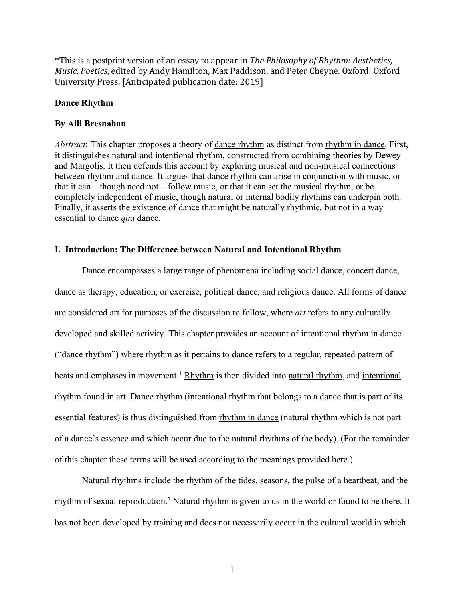\*This is a postprint version of an essay to appear in *The Philosophy of Rhythm: Aesthetics, Music, Poetics,* edited by Andy Hamilton, Max Paddison, and Peter Cheyne. Oxford: Oxford University Press. [Anticipated publication date: 2019]

#### **Dance Rhythm**

### **By Aili Bresnahan**

*Abstract*: This chapter proposes a theory of dance rhythm as distinct from rhythm in dance. First, it distinguishes natural and intentional rhythm, constructed from combining theories by Dewey and Margolis. It then defends this account by exploring musical and non-musical connections between rhythm and dance. It argues that dance rhythm can arise in conjunction with music, or that it can – though need not – follow music, or that it can set the musical rhythm, or be completely independent of music, though natural or internal bodily rhythms can underpin both. Finally, it asserts the existence of dance that might be naturally rhythmic, but not in a way essential to dance *qua* dance.

# **I. Introduction: The Difference between Natural and Intentional Rhythm**

Dance encompasses a large range of phenomena including social dance, concert dance, dance as therapy, education, or exercise, political dance, and religious dance. All forms of dance are considered art for purposes of the discussion to follow, where *art* refers to any culturally developed and skilled activity. This chapter provides an account of intentional rhythm in dance ("dance rhythm") where rhythm as it pertains to dance refers to a regular, repeated pattern of beats and emphases in movement.<sup>1</sup> Rhythm is then divided into natural rhythm, and intentional rhythm found in art. Dance rhythm (intentional rhythm that belongs to a dance that is part of its essential features) is thus distinguished from rhythm in dance (natural rhythm which is not part of a dance's essence and which occur due to the natural rhythms of the body). (For the remainder of this chapter these terms will be used according to the meanings provided here.)

Natural rhythms include the rhythm of the tides, seasons, the pulse of a heartbeat, and the rhythm of sexual reproduction.2 Natural rhythm is given to us in the world or found to be there. It has not been developed by training and does not necessarily occur in the cultural world in which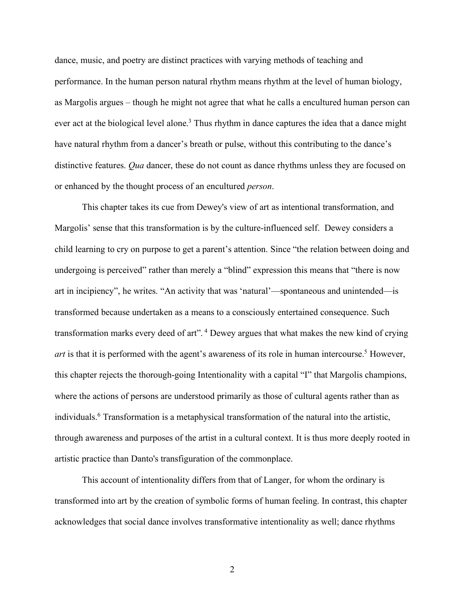dance, music, and poetry are distinct practices with varying methods of teaching and performance. In the human person natural rhythm means rhythm at the level of human biology, as Margolis argues – though he might not agree that what he calls a encultured human person can ever act at the biological level alone.<sup>3</sup> Thus rhythm in dance captures the idea that a dance might have natural rhythm from a dancer's breath or pulse, without this contributing to the dance's distinctive features. *Qua* dancer, these do not count as dance rhythms unless they are focused on or enhanced by the thought process of an encultured *person*.

This chapter takes its cue from Dewey's view of art as intentional transformation, and Margolis' sense that this transformation is by the culture-influenced self. Dewey considers a child learning to cry on purpose to get a parent's attention. Since "the relation between doing and undergoing is perceived" rather than merely a "blind" expression this means that "there is now art in incipiency", he writes. "An activity that was 'natural'—spontaneous and unintended—is transformed because undertaken as a means to a consciously entertained consequence. Such transformation marks every deed of art". <sup>4</sup> Dewey argues that what makes the new kind of crying *art* is that it is performed with the agent's awareness of its role in human intercourse.<sup>5</sup> However, this chapter rejects the thorough-going Intentionality with a capital "I" that Margolis champions, where the actions of persons are understood primarily as those of cultural agents rather than as individuals. <sup>6</sup> Transformation is a metaphysical transformation of the natural into the artistic, through awareness and purposes of the artist in a cultural context. It is thus more deeply rooted in artistic practice than Danto's transfiguration of the commonplace.

This account of intentionality differs from that of Langer, for whom the ordinary is transformed into art by the creation of symbolic forms of human feeling. In contrast, this chapter acknowledges that social dance involves transformative intentionality as well; dance rhythms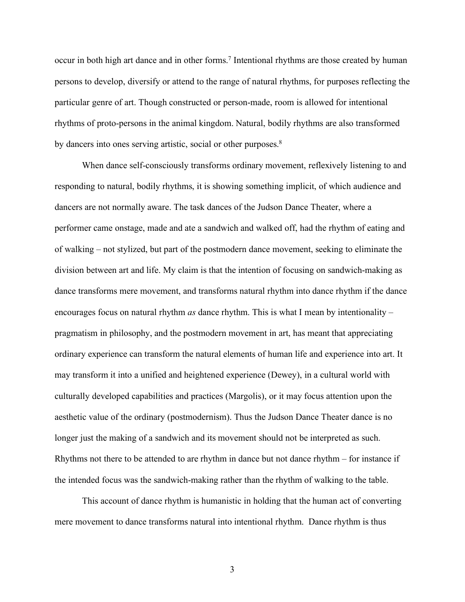occur in both high art dance and in other forms.<sup>7</sup> Intentional rhythms are those created by human persons to develop, diversify or attend to the range of natural rhythms, for purposes reflecting the particular genre of art. Though constructed or person-made, room is allowed for intentional rhythms of proto-persons in the animal kingdom. Natural, bodily rhythms are also transformed by dancers into ones serving artistic, social or other purposes.<sup>8</sup>

When dance self-consciously transforms ordinary movement, reflexively listening to and responding to natural, bodily rhythms, it is showing something implicit, of which audience and dancers are not normally aware. The task dances of the Judson Dance Theater, where a performer came onstage, made and ate a sandwich and walked off, had the rhythm of eating and of walking – not stylized, but part of the postmodern dance movement, seeking to eliminate the division between art and life. My claim is that the intention of focusing on sandwich-making as dance transforms mere movement, and transforms natural rhythm into dance rhythm if the dance encourages focus on natural rhythm *as* dance rhythm. This is what I mean by intentionality – pragmatism in philosophy, and the postmodern movement in art, has meant that appreciating ordinary experience can transform the natural elements of human life and experience into art. It may transform it into a unified and heightened experience (Dewey), in a cultural world with culturally developed capabilities and practices (Margolis), or it may focus attention upon the aesthetic value of the ordinary (postmodernism). Thus the Judson Dance Theater dance is no longer just the making of a sandwich and its movement should not be interpreted as such. Rhythms not there to be attended to are rhythm in dance but not dance rhythm – for instance if the intended focus was the sandwich-making rather than the rhythm of walking to the table.

This account of dance rhythm is humanistic in holding that the human act of converting mere movement to dance transforms natural into intentional rhythm. Dance rhythm is thus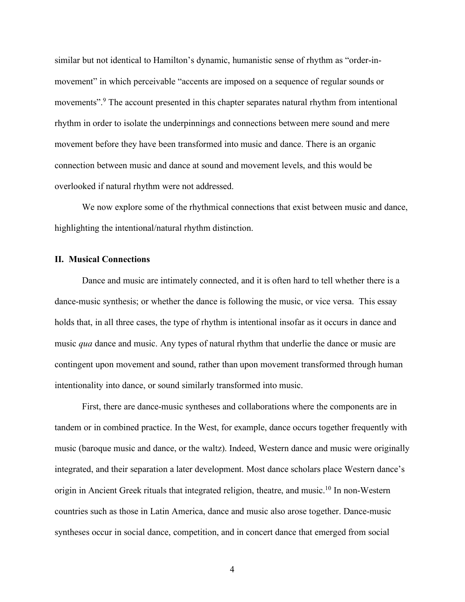similar but not identical to Hamilton's dynamic, humanistic sense of rhythm as "order-inmovement" in which perceivable "accents are imposed on a sequence of regular sounds or movements".<sup>9</sup> The account presented in this chapter separates natural rhythm from intentional rhythm in order to isolate the underpinnings and connections between mere sound and mere movement before they have been transformed into music and dance. There is an organic connection between music and dance at sound and movement levels, and this would be overlooked if natural rhythm were not addressed.

We now explore some of the rhythmical connections that exist between music and dance, highlighting the intentional/natural rhythm distinction.

# **II. Musical Connections**

Dance and music are intimately connected, and it is often hard to tell whether there is a dance-music synthesis; or whether the dance is following the music, or vice versa. This essay holds that, in all three cases, the type of rhythm is intentional insofar as it occurs in dance and music *qua* dance and music. Any types of natural rhythm that underlie the dance or music are contingent upon movement and sound, rather than upon movement transformed through human intentionality into dance, or sound similarly transformed into music.

First, there are dance-music syntheses and collaborations where the components are in tandem or in combined practice. In the West, for example, dance occurs together frequently with music (baroque music and dance, or the waltz). Indeed, Western dance and music were originally integrated, and their separation a later development. Most dance scholars place Western dance's origin in Ancient Greek rituals that integrated religion, theatre, and music.10 In non-Western countries such as those in Latin America, dance and music also arose together. Dance-music syntheses occur in social dance, competition, and in concert dance that emerged from social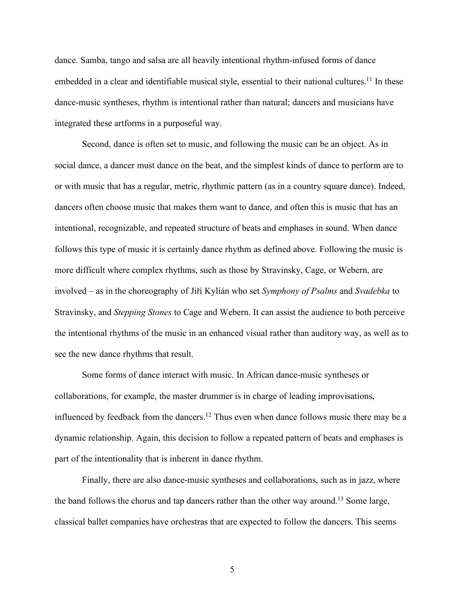dance. Samba, tango and salsa are all heavily intentional rhythm-infused forms of dance embedded in a clear and identifiable musical style, essential to their national cultures.<sup>11</sup> In these dance-music syntheses, rhythm is intentional rather than natural; dancers and musicians have integrated these artforms in a purposeful way.

Second, dance is often set to music, and following the music can be an object. As in social dance, a dancer must dance on the beat, and the simplest kinds of dance to perform are to or with music that has a regular, metric, rhythmic pattern (as in a country square dance). Indeed, dancers often choose music that makes them want to dance, and often this is music that has an intentional, recognizable, and repeated structure of beats and emphases in sound. When dance follows this type of music it is certainly dance rhythm as defined above. Following the music is more difficult where complex rhythms, such as those by Stravinsky, Cage, or Webern, are involved – as in the choreography of Jiří Kylián who set *Symphony of Psalms* and *Svadebka* to Stravinsky, and *Stepping Stones* to Cage and Webern. It can assist the audience to both perceive the intentional rhythms of the music in an enhanced visual rather than auditory way, as well as to see the new dance rhythms that result.

Some forms of dance interact with music. In African dance-music syntheses or collaborations, for example, the master drummer is in charge of leading improvisations, influenced by feedback from the dancers.<sup>12</sup> Thus even when dance follows music there may be a dynamic relationship. Again, this decision to follow a repeated pattern of beats and emphases is part of the intentionality that is inherent in dance rhythm.

Finally, there are also dance-music syntheses and collaborations, such as in jazz, where the band follows the chorus and tap dancers rather than the other way around.<sup>13</sup> Some large, classical ballet companies have orchestras that are expected to follow the dancers. This seems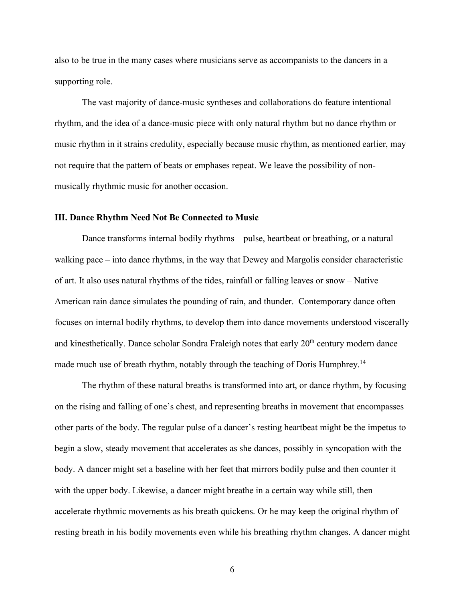also to be true in the many cases where musicians serve as accompanists to the dancers in a supporting role.

The vast majority of dance-music syntheses and collaborations do feature intentional rhythm, and the idea of a dance-music piece with only natural rhythm but no dance rhythm or music rhythm in it strains credulity, especially because music rhythm, as mentioned earlier, may not require that the pattern of beats or emphases repeat. We leave the possibility of nonmusically rhythmic music for another occasion.

# **III. Dance Rhythm Need Not Be Connected to Music**

Dance transforms internal bodily rhythms – pulse, heartbeat or breathing, or a natural walking pace – into dance rhythms, in the way that Dewey and Margolis consider characteristic of art. It also uses natural rhythms of the tides, rainfall or falling leaves or snow – Native American rain dance simulates the pounding of rain, and thunder. Contemporary dance often focuses on internal bodily rhythms, to develop them into dance movements understood viscerally and kinesthetically. Dance scholar Sondra Fraleigh notes that early 20<sup>th</sup> century modern dance made much use of breath rhythm, notably through the teaching of Doris Humphrey.<sup>14</sup>

The rhythm of these natural breaths is transformed into art, or dance rhythm, by focusing on the rising and falling of one's chest, and representing breaths in movement that encompasses other parts of the body. The regular pulse of a dancer's resting heartbeat might be the impetus to begin a slow, steady movement that accelerates as she dances, possibly in syncopation with the body. A dancer might set a baseline with her feet that mirrors bodily pulse and then counter it with the upper body. Likewise, a dancer might breathe in a certain way while still, then accelerate rhythmic movements as his breath quickens. Or he may keep the original rhythm of resting breath in his bodily movements even while his breathing rhythm changes. A dancer might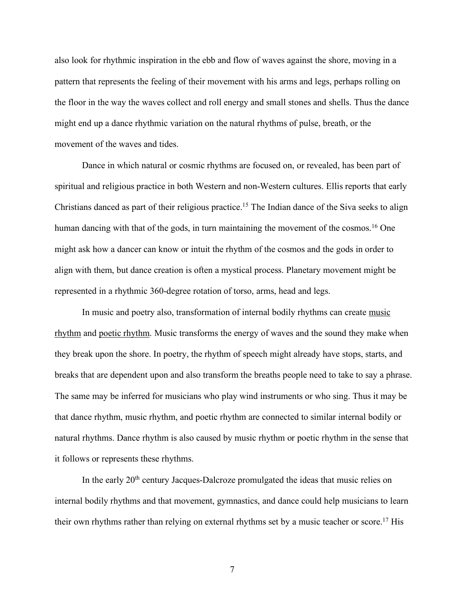also look for rhythmic inspiration in the ebb and flow of waves against the shore, moving in a pattern that represents the feeling of their movement with his arms and legs, perhaps rolling on the floor in the way the waves collect and roll energy and small stones and shells. Thus the dance might end up a dance rhythmic variation on the natural rhythms of pulse, breath, or the movement of the waves and tides.

Dance in which natural or cosmic rhythms are focused on, or revealed, has been part of spiritual and religious practice in both Western and non-Western cultures. Ellis reports that early Christians danced as part of their religious practice.<sup>15</sup> The Indian dance of the Siva seeks to align human dancing with that of the gods, in turn maintaining the movement of the cosmos.<sup>16</sup> One might ask how a dancer can know or intuit the rhythm of the cosmos and the gods in order to align with them, but dance creation is often a mystical process. Planetary movement might be represented in a rhythmic 360-degree rotation of torso, arms, head and legs.

In music and poetry also, transformation of internal bodily rhythms can create music rhythm and poetic rhythm. Music transforms the energy of waves and the sound they make when they break upon the shore. In poetry, the rhythm of speech might already have stops, starts, and breaks that are dependent upon and also transform the breaths people need to take to say a phrase. The same may be inferred for musicians who play wind instruments or who sing. Thus it may be that dance rhythm, music rhythm, and poetic rhythm are connected to similar internal bodily or natural rhythms. Dance rhythm is also caused by music rhythm or poetic rhythm in the sense that it follows or represents these rhythms.

In the early 20<sup>th</sup> century Jacques-Dalcroze promulgated the ideas that music relies on internal bodily rhythms and that movement, gymnastics, and dance could help musicians to learn their own rhythms rather than relying on external rhythms set by a music teacher or score. <sup>17</sup> His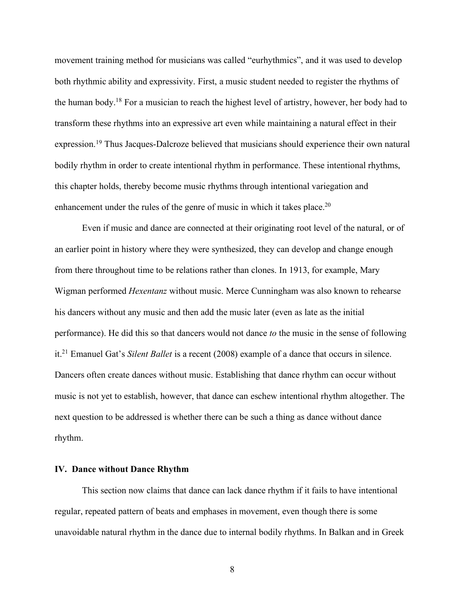movement training method for musicians was called "eurhythmics", and it was used to develop both rhythmic ability and expressivity. First, a music student needed to register the rhythms of the human body.18 For a musician to reach the highest level of artistry, however, her body had to transform these rhythms into an expressive art even while maintaining a natural effect in their expression.<sup>19</sup> Thus Jacques-Dalcroze believed that musicians should experience their own natural bodily rhythm in order to create intentional rhythm in performance. These intentional rhythms, this chapter holds, thereby become music rhythms through intentional variegation and enhancement under the rules of the genre of music in which it takes place.<sup>20</sup>

Even if music and dance are connected at their originating root level of the natural, or of an earlier point in history where they were synthesized, they can develop and change enough from there throughout time to be relations rather than clones. In 1913, for example, Mary Wigman performed *Hexentanz* without music. Merce Cunningham was also known to rehearse his dancers without any music and then add the music later (even as late as the initial performance). He did this so that dancers would not dance *to* the music in the sense of following it.21 Emanuel Gat's *Silent Ballet* is a recent (2008) example of a dance that occurs in silence. Dancers often create dances without music. Establishing that dance rhythm can occur without music is not yet to establish, however, that dance can eschew intentional rhythm altogether. The next question to be addressed is whether there can be such a thing as dance without dance rhythm.

#### **IV. Dance without Dance Rhythm**

This section now claims that dance can lack dance rhythm if it fails to have intentional regular, repeated pattern of beats and emphases in movement, even though there is some unavoidable natural rhythm in the dance due to internal bodily rhythms. In Balkan and in Greek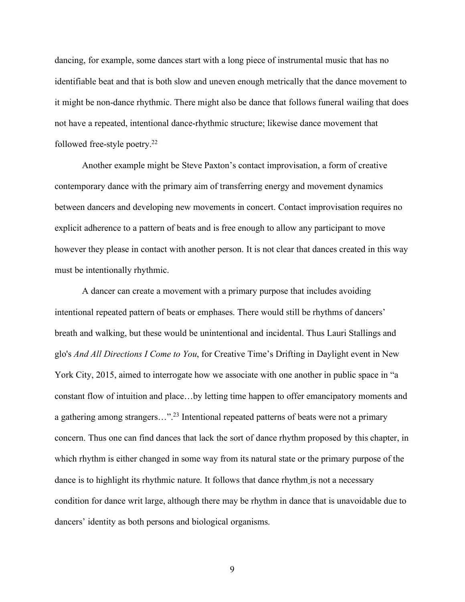dancing, for example, some dances start with a long piece of instrumental music that has no identifiable beat and that is both slow and uneven enough metrically that the dance movement to it might be non-dance rhythmic. There might also be dance that follows funeral wailing that does not have a repeated, intentional dance-rhythmic structure; likewise dance movement that followed free-style poetry.22

Another example might be Steve Paxton's contact improvisation, a form of creative contemporary dance with the primary aim of transferring energy and movement dynamics between dancers and developing new movements in concert. Contact improvisation requires no explicit adherence to a pattern of beats and is free enough to allow any participant to move however they please in contact with another person. It is not clear that dances created in this way must be intentionally rhythmic.

A dancer can create a movement with a primary purpose that includes avoiding intentional repeated pattern of beats or emphases. There would still be rhythms of dancers' breath and walking, but these would be unintentional and incidental. Thus Lauri Stallings and glo's *And All Directions I Come to You*, for Creative Time's Drifting in Daylight event in New York City, 2015, aimed to interrogate how we associate with one another in public space in "a constant flow of intuition and place…by letting time happen to offer emancipatory moments and a gathering among strangers...".<sup>23</sup> Intentional repeated patterns of beats were not a primary concern. Thus one can find dances that lack the sort of dance rhythm proposed by this chapter, in which rhythm is either changed in some way from its natural state or the primary purpose of the dance is to highlight its rhythmic nature. It follows that dance rhythm is not a necessary condition for dance writ large, although there may be rhythm in dance that is unavoidable due to dancers' identity as both persons and biological organisms.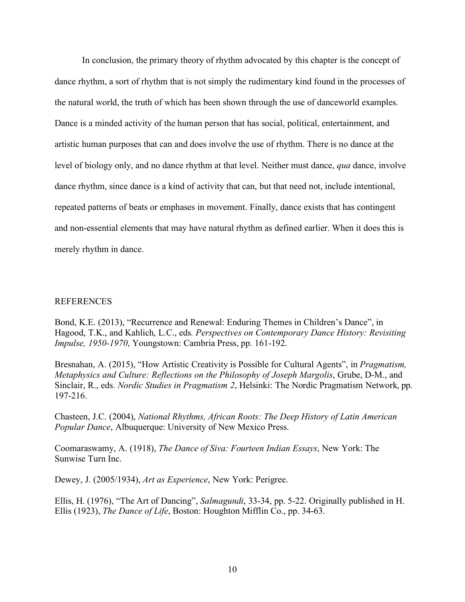In conclusion, the primary theory of rhythm advocated by this chapter is the concept of dance rhythm, a sort of rhythm that is not simply the rudimentary kind found in the processes of the natural world, the truth of which has been shown through the use of danceworld examples. Dance is a minded activity of the human person that has social, political, entertainment, and artistic human purposes that can and does involve the use of rhythm. There is no dance at the level of biology only, and no dance rhythm at that level. Neither must dance, *qua* dance, involve dance rhythm, since dance is a kind of activity that can, but that need not, include intentional, repeated patterns of beats or emphases in movement. Finally, dance exists that has contingent and non-essential elements that may have natural rhythm as defined earlier. When it does this is merely rhythm in dance.

#### REFERENCES

Bond, K.E. (2013), "Recurrence and Renewal: Enduring Themes in Children's Dance", in Hagood, T.K., and Kahlich, L.C., eds*. Perspectives on Contemporary Dance History: Revisiting Impulse, 1950-1970*, Youngstown: Cambria Press, pp. 161-192.

Bresnahan, A. (2015), "How Artistic Creativity is Possible for Cultural Agents", in *Pragmatism, Metaphysics and Culture: Reflections on the Philosophy of Joseph Margolis*, Grube, D-M., and Sinclair, R., eds. *Nordic Studies in Pragmatism 2*, Helsinki: The Nordic Pragmatism Network, pp. 197-216.

Chasteen, J.C. (2004), *National Rhythms, African Roots: The Deep History of Latin American Popular Dance*, Albuquerque: University of New Mexico Press.

Coomaraswamy, A. (1918), *The Dance of Siva: Fourteen Indian Essays*, New York: The Sunwise Turn Inc.

Dewey, J. (2005/1934), *Art as Experience*, New York: Perigree.

Ellis, H. (1976), "The Art of Dancing", *Salmagundi*, 33-34, pp. 5-22. Originally published in H. Ellis (1923), *The Dance of Life*, Boston: Houghton Mifflin Co., pp. 34-63.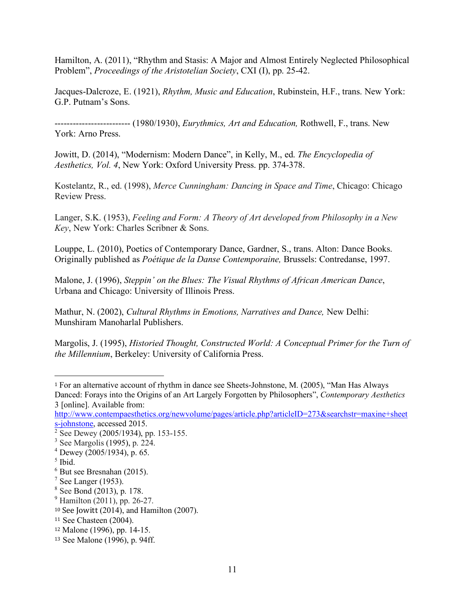Hamilton, A. (2011), "Rhythm and Stasis: A Major and Almost Entirely Neglected Philosophical Problem", *Proceedings of the Aristotelian Society*, CXI (I), pp. 25-42.

Jacques-Dalcroze, E. (1921), *Rhythm, Music and Education*, Rubinstein, H.F., trans. New York: G.P. Putnam's Sons.

------------------------- (1980/1930), *Eurythmics, Art and Education,* Rothwell, F., trans. New York: Arno Press.

Jowitt, D. (2014), "Modernism: Modern Dance", in Kelly, M., ed. *The Encyclopedia of Aesthetics, Vol. 4*, New York: Oxford University Press. pp. 374-378.

Kostelantz, R., ed. (1998), *Merce Cunningham: Dancing in Space and Time*, Chicago: Chicago Review Press.

Langer, S.K. (1953), *Feeling and Form: A Theory of Art developed from Philosophy in a New Key*, New York: Charles Scribner & Sons.

Louppe, L. (2010), Poetics of Contemporary Dance, Gardner, S., trans. Alton: Dance Books. Originally published as *Poétique de la Danse Contemporaine,* Brussels: Contredanse, 1997.

Malone, J. (1996), *Steppin' on the Blues: The Visual Rhythms of African American Dance*, Urbana and Chicago: University of Illinois Press.

Mathur, N. (2002), *Cultural Rhythms in Emotions, Narratives and Dance,* New Delhi: Munshiram Manoharlal Publishers.

Margolis, J. (1995), *Historied Thought, Constructed World: A Conceptual Primer for the Turn of the Millennium*, Berkeley: University of California Press.

http://www.contempaesthetics.org/newvolume/pages/article.php?articleID=273&searchstr=maxine+sheet s-johnstone, accessed 2015.

 

 $<sup>5</sup>$  Ibid.</sup>

<sup>1</sup> For an alternative account of rhythm in dance see Sheets-Johnstone, M. (2005), "Man Has Always Danced: Forays into the Origins of an Art Largely Forgotten by Philosophers", *Contemporary Aesthetics*  3 [online]. Available from:

 $2$  See Dewey (2005/1934), pp. 153-155.

<sup>3</sup> See Margolis (1995), p. 224.

 $4$  Dewey (2005/1934), p. 65.

 $6$  But see Bresnahan (2015).

 $7$  See Langer (1953).

<sup>8</sup> See Bond (2013), p. 178.

<sup>9</sup> Hamilton (2011), pp. 26-27.

 $10$  See Jowitt (2014), and Hamilton (2007).

<sup>11</sup> See Chasteen (2004).

<sup>12</sup> Malone (1996), pp. 14-15.

<sup>13</sup> See Malone (1996), p. 94ff.